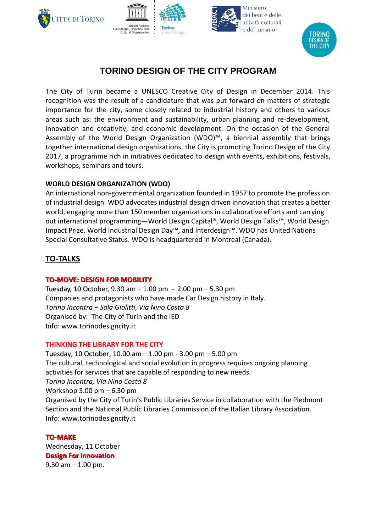







# **TORINO DESIGN OF THE CITY PROGRAM**

The City of Turin became a UNESCO Creative City of Design in December 2014. This recognition was the result of a candidature that was put forward on matters of strategic importance for the city, some closely related to industrial history and others to various areas such as: the environment and sustainability, urban planning and re-development, innovation and creativity, and economic development. On the occasion of the General Assembly of the World Design Organization (WDO)™, a biennial assembly that brings together international design organizations, the City is promoting Torino Design of the City 2017, a programme rich in initiatives dedicated to design with events, exhibitions, festivals, workshops, seminars and tours.

## **WORLD DESIGN ORGANIZATION (WDO)**

An international non-governmental organization founded in 1957 to promote the profession of industrial design. WDO advocates industrial design driven innovation that creates a better world, engaging more than 150 member organizations in collaborative efforts and carrying out international programming—World Design Capital®, World Design Talks™, World Design Impact Prize, World Industrial Design Day™, and Interdesign™. WDO has United Nations Special Consultative Status. WDO is headquartered in Montreal (Canada).

## **TO-TALKS**

## **TO-MOVE: DESIGN FOR MOBILITY**

Tuesday, 10 October, 9.30 am – 1.00 pm - 2.00 pm – 5.30 pm Companies and protagonists who have made Car Design history in Italy. *Torino Incontra – Sala Giolitti, Via Nino Costa 8* Organised by: The City of Turin and the IED Info: www.torinodesigncity.it

## **THINKING THE LIBRARY FOR THE CITY**

Tuesday, 10 October, 10.00 am – 1.00 pm - 3.00 pm – 5.00 pm The cultural, technological and social evolution in progress requires ongoing planning activities for services that are capable of responding to new needs. *Torino Incontra, Via Nino Costa 8* Workshop 3.00 pm – 6.30 pm Organised by the City of Turin's Public Libraries Service in collaboration with the Piedmont Section and the National Public Libraries Commission of the Italian Library Association. Info: www.torinodesigncity.it

## **TO-MAKE**

Wednesday, 11 October **Design For Innovation** 9.30 am  $-$  1.00 pm.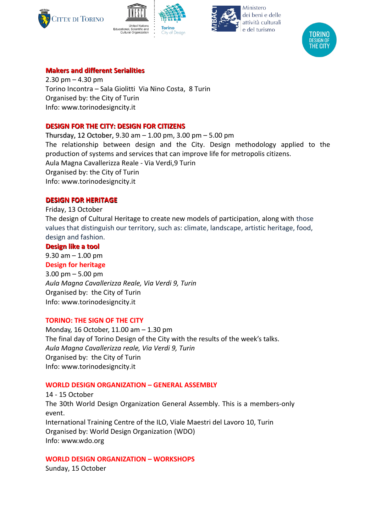







## **Makers and different Serialities**

 $2.30 \text{ pm} - 4.30 \text{ pm}$ Torino Incontra – Sala Giolitti Via Nino Costa, 8 Turin Organised by: the City of Turin Info: www.torinodesigncity.it

### **DESIGN FOR THE CITY: DESIGN FOR CITIZENS**

Thursday, 12 October, 9.30 am – 1.00 pm, 3.00 pm – 5.00 pm The relationship between design and the City. Design methodology applied to the production of systems and services that can improve life for metropolis citizens. Aula Magna Cavallerizza Reale - Via Verdi,9 Turin Organised by: the City of Turin Info: www.torinodesigncity.it

### **DESIGN FOR HERITAGE**

Friday, 13 October The design of Cultural Heritage to create new models of participation, along with those values that distinguish our territory, such as: climate, landscape, artistic heritage, food, design and fashion.

### **Design like a tool**

9.30 am – 1.00 pm

#### **Design for heritage**

3.00 pm – 5.00 pm *Aula Magna Cavallerizza Reale, Via Verdi 9, Turin* Organised by: the City of Turin Info: www.torinodesigncity.it

#### **TORINO: THE SIGN OF THE CITY**

Monday, 16 October, 11.00 am – 1.30 pm The final day of Torino Design of the City with the results of the week's talks. *Aula Magna Cavallerizza reale, Via Verdi 9, Turin* Organised by: the City of Turin Info: www.torinodesigncity.it

#### **WORLD DESIGN ORGANIZATION – GENERAL ASSEMBLY**

14 - 15 October The 30th World Design Organization General Assembly. This is a members-only event. International Training Centre of the ILO, Viale Maestri del Lavoro 10, Turin Organised by: World Design Organization (WDO) Info: www.wdo.org

## **WORLD DESIGN ORGANIZATION – WORKSHOPS**

Sunday, 15 October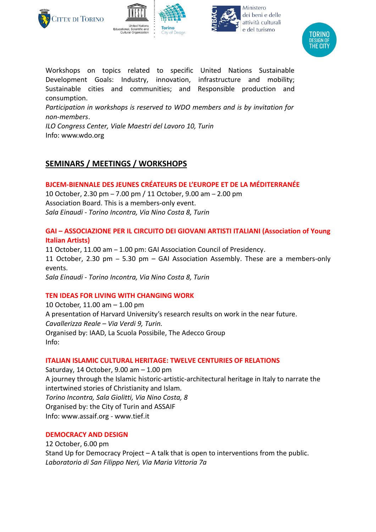







Workshops on topics related to specific United Nations Sustainable Development Goals: Industry, innovation, infrastructure and mobility; Sustainable cities and communities; and Responsible production and consumption.

*Participation in workshops is reserved to WDO members and is by invitation for non-members*.

*ILO Congress Center, Viale Maestri del Lavoro 10, Turin* Info: www.wdo.org

## **SEMINARS / MEETINGS / WORKSHOPS**

**BJCEM-BIENNALE DES JEUNES CRÉATEURS DE L'EUROPE ET DE LA MÉDITERRANÉE** 10 October, 2.30 pm – 7.00 pm / 11 October, 9.00 am – 2.00 pm

Association Board. This is a members-only event. *Sala Einaudi - Torino Incontra, Via Nino Costa 8, Turin*

### **GAI – ASSOCIAZIONE PER IL CIRCUITO DEI GIOVANI ARTISTI ITALIANI (Association of Young Italian Artists)**

11 October, 11.00 am – 1.00 pm: GAI Association Council of Presidency. 11 October, 2.30 pm – 5.30 pm – GAI Association Assembly. These are a members-only events. *Sala Einaudi - Torino Incontra, Via Nino Costa 8, Turin*

## **TEN IDEAS FOR LIVING WITH CHANGING WORK**

10 October, 11.00 am – 1.00 pm A presentation of Harvard University's research results on work in the near future. *Cavallerizza Reale – Via Verdi 9, Turin.* Organised by: IAAD, La Scuola Possibile, The Adecco Group Info:

## **ITALIAN ISLAMIC CULTURAL HERITAGE: TWELVE CENTURIES OF RELATIONS**

Saturday, 14 October, 9.00 am – 1.00 pm A journey through the Islamic historic-artistic-architectural heritage in Italy to narrate the intertwined stories of Christianity and Islam. *Torino Incontra, Sala Giolitti, Via Nino Costa, 8* Organised by: the City of Turin and ASSAIF Info: www.assaif.org - www.tief.it

### **DEMOCRACY AND DESIGN**

12 October, 6.00 pm Stand Up for Democracy Project – A talk that is open to interventions from the public. *Laboratorio di San Filippo Neri, Via Maria Vittoria 7a*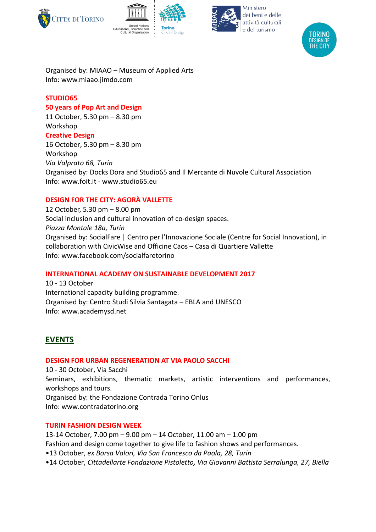







Organised by: MIAAO – Museum of Applied Arts Info: www.miaao.jimdo.com

### **STUDIO65**

### **50 years of Pop Art and Design**

11 October, 5.30 pm – 8.30 pm Workshop **Creative Design** 16 October, 5.30 pm – 8.30 pm

Workshop *Via Valprato 68, Turin* Organised by: Docks Dora and Studio65 and Il Mercante di Nuvole Cultural Association Info: www.foit.it - www.studio65.eu

## **DESIGN FOR THE CITY: AGORÀ VALLETTE**

12 October, 5.30 pm – 8.00 pm Social inclusion and cultural innovation of co-design spaces. *Piazza Montale 18a, Turin* Organised by: SocialFare | Centro per l'Innovazione Sociale (Centre for Social Innovation), in collaboration with CivicWise and Officine Caos – Casa di Quartiere Vallette Info: www.facebook.com/socialfaretorino

### **INTERNATIONAL ACADEMY ON SUSTAINABLE DEVELOPMENT 2017**

10 - 13 October International capacity building programme. Organised by: Centro Studi Silvia Santagata – EBLA and UNESCO Info: www.academysd.net

## **EVENTS**

### **DESIGN FOR URBAN REGENERATION AT VIA PAOLO SACCHI**

10 - 30 October, Via Sacchi Seminars, exhibitions, thematic markets, artistic interventions and performances, workshops and tours. Organised by: the Fondazione Contrada Torino Onlus Info: www.contradatorino.org

### **TURIN FASHION DESIGN WEEK**

13-14 October, 7.00 pm – 9.00 pm – 14 October, 11.00 am – 1.00 pm Fashion and design come together to give life to fashion shows and performances. •13 October, *ex Borsa Valori, Via San Francesco da Paola, 28, Turin*

•14 October, *Cittadellarte Fondazione Pistoletto, Via Giovanni Battista Serralunga, 27, Biella*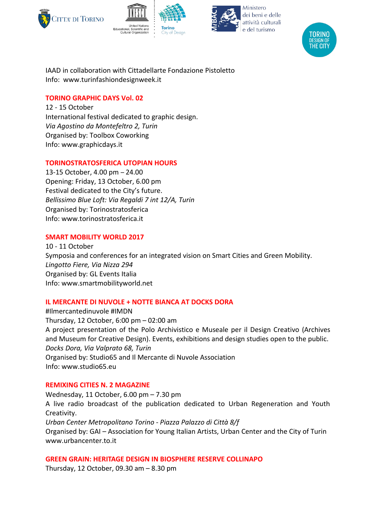







IAAD in collaboration with Cittadellarte Fondazione Pistoletto Info: www.turinfashiondesignweek.it

### **TORINO GRAPHIC DAYS Vol. 02**

12 - 15 October International festival dedicated to graphic design. *Via Agostino da Montefeltro 2, Turin* Organised by: Toolbox Coworking Info: www.graphicdays.it

## **TORINOSTRATOSFERICA UTOPIAN HOURS**

13-15 October, 4.00 pm – 24.00 Opening: Friday, 13 October, 6.00 pm Festival dedicated to the City's future. *Bellissimo Blue Loft: Via Regaldi 7 int 12/A, Turin* Organised by: Torinostratosferica Info: www.torinostratosferica.it

### **SMART MOBILITY WORLD 2017**

10 - 11 October Symposia and conferences for an integrated vision on Smart Cities and Green Mobility. *Lingotto Fiere, Via Nizza 294* Organised by: GL Events Italia Info: www.smartmobilityworld.net

## **IL MERCANTE DI NUVOLE + NOTTE BIANCA AT DOCKS DORA**

#Ilmercantedinuvole #IMDN Thursday, 12 October, 6:00 pm – 02:00 am A project presentation of the Polo Archivistico e Museale per il Design Creativo (Archives and Museum for Creative Design). Events, exhibitions and design studies open to the public. *Docks Dora, Via Valprato 68, Turin* Organised by: Studio65 and Il Mercante di Nuvole Association Info: www.studio65.eu

### **REMIXING CITIES N. 2 MAGAZINE**

Wednesday, 11 October, 6.00 pm – 7.30 pm A live radio broadcast of the publication dedicated to Urban Regeneration and Youth Creativity. *Urban Center Metropolitano Torino - Piazza Palazzo di Città 8/f*  Organised by: GAI – Association for Young Italian Artists, Urban Center and the City of Turin www.urbancenter.to.it

### **GREEN GRAIN: HERITAGE DESIGN IN BIOSPHERE RESERVE COLLINAPO**

Thursday, 12 October, 09.30 am – 8.30 pm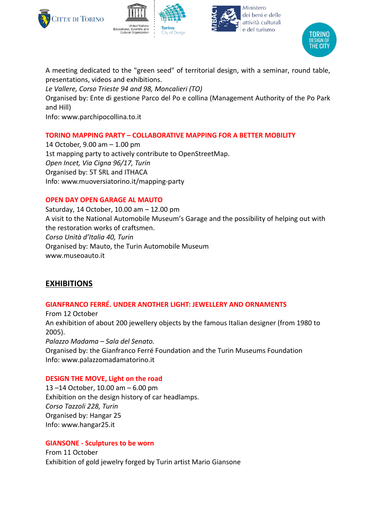







A meeting dedicated to the "green seed" of territorial design, with a seminar, round table, presentations, videos and exhibitions.

*Le Vallere, Corso Trieste 94 and 98, Moncalieri (TO)* 

Organised by: Ente di gestione Parco del Po e collina (Management Authority of the Po Park and Hill)

Info: www.parchipocollina.to.it

## **TORINO MAPPING PARTY – COLLABORATIVE MAPPING FOR A BETTER MOBILITY**

14 October, 9.00 am – 1.00 pm 1st mapping party to actively contribute to OpenStreetMap. *Open Incet, Via Cigna 96/17, Turin* Organised by: 5T SRL and ITHACA Info: www.muoversiatorino.it/mapping-party

## **OPEN DAY OPEN GARAGE AL MAUTO**

Saturday, 14 October, 10.00 am – 12.00 pm A visit to the National Automobile Museum's Garage and the possibility of helping out with the restoration works of craftsmen. *Corso Unità d'Italia 40, Turin* Organised by: Mauto, the Turin Automobile Museum www.museoauto.it

## **EXHIBITIONS**

## **GIANFRANCO FERRÉ. UNDER ANOTHER LIGHT: JEWELLERY AND ORNAMENTS**

From 12 October An exhibition of about 200 jewellery objects by the famous Italian designer (from 1980 to 2005). *Palazzo Madama – Sala del Senato.* Organised by: the Gianfranco Ferré Foundation and the Turin Museums Foundation Info: www.palazzomadamatorino.it

## **DESIGN THE MOVE, Light on the road**

13 –14 October, 10.00 am – 6.00 pm Exhibition on the design history of car headlamps. *Corso Tazzoli 228, Turin* Organised by: Hangar 25 Info: www.hangar25.it

## **GIANSONE - Sculptures to be worn**

From 11 October Exhibition of gold jewelry forged by Turin artist Mario Giansone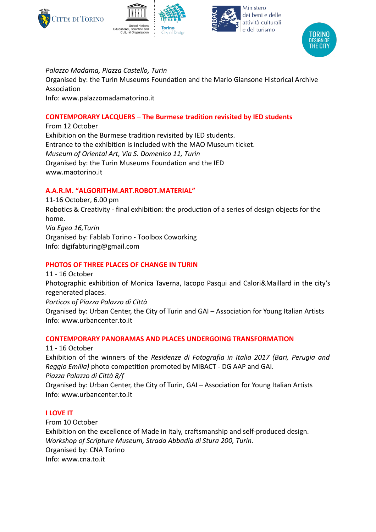







*Palazzo Madama, Piazza Castello, Turin*

Organised by: the Turin Museums Foundation and the Mario Giansone Historical Archive Association Info: www.palazzomadamatorino.it

## **CONTEMPORARY LACQUERS – The Burmese tradition revisited by IED students**

From 12 October Exhibition on the Burmese tradition revisited by IED students. Entrance to the exhibition is included with the MAO Museum ticket. *Museum of Oriental Art, Via S. Domenico 11, Turin* Organised by: the Turin Museums Foundation and the IED www.maotorino.it

### **A.A.R.M. "ALGORITHM.ART.ROBOT.MATERIAL"**

11-16 October, 6.00 pm Robotics & Creativity - final exhibition: the production of a series of design objects for the home. *Via Egeo 16,Turin* Organised by: Fablab Torino - Toolbox Coworking Info: digifabturing@gmail.com

### **PHOTOS OF THREE PLACES OF CHANGE IN TURIN**

11 - 16 October Photographic exhibition of Monica Taverna, Iacopo Pasqui and Calori&Maillard in the city's regenerated places. *Porticos of Piazza Palazzo di Città* Organised by: Urban Center, the City of Turin and GAI – Association for Young Italian Artists Info: www.urbancenter.to.it

### **CONTEMPORARY PANORAMAS AND PLACES UNDERGOING TRANSFORMATION**

11 - 16 October Exhibition of the winners of the *Residenze di Fotografia in Italia 2017 (Bari, Perugia and Reggio Emilia)* photo competition promoted by MiBACT - DG AAP and GAI. *Piazza Palazzo di Città 8/f*  Organised by: Urban Center, the City of Turin, GAI – Association for Young Italian Artists Info: www.urbancenter.to.it

## **I LOVE IT**

From 10 October Exhibition on the excellence of Made in Italy, craftsmanship and self-produced design. *Workshop of Scripture Museum, Strada Abbadia di Stura 200, Turin.* Organised by: CNA Torino Info: www.cna.to.it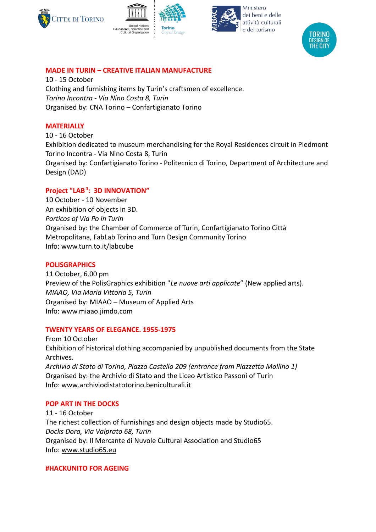







## **MADE IN TURIN – CREATIVE ITALIAN MANUFACTURE**

10 - 15 October Clothing and furnishing items by Turin's craftsmen of excellence. *Torino Incontra - Via Nino Costa 8, Turin* Organised by: CNA Torino – Confartigianato Torino

### **MATERIALLY**

10 - 16 October Exhibition dedicated to museum merchandising for the Royal Residences circuit in Piedmont Torino Incontra - Via Nino Costa 8, Turin Organised by: Confartigianato Torino - Politecnico di Torino, Department of Architecture and Design (DAD)

### **Project "LAB<sup>3</sup>: 3D INNOVATION"**

10 October - 10 November An exhibition of objects in 3D. *Porticos of Via Po in Turin* Organised by: the Chamber of Commerce of Turin, Confartigianato Torino Città Metropolitana, FabLab Torino and Turn Design Community Torino Info: www.turn.to.it/labcube

### **POLISGRAPHICS**

11 October, 6.00 pm Preview of the PolisGraphics exhibition "*Le nuove arti applicate*" (New applied arts). *MIAAO, Via Maria Vittoria 5, Turin* Organised by: MIAAO – Museum of Applied Arts Info: www.miaao.jimdo.com

#### **TWENTY YEARS OF ELEGANCE. 1955-1975**

From 10 October Exhibition of historical clothing accompanied by unpublished documents from the State Archives. *Archivio di Stato di Torino, Piazza Castello 209 (entrance from Piazzetta Mollino 1)* Organised by: the Archivio di Stato and the Liceo Artistico Passoni of Turin

Info: www.archiviodistatotorino.beniculturali.it

## **POP ART IN THE DOCKS**

11 ‐ 16 October The richest collection of furnishings and design objects made by Studio65. *Docks Dora, Via Valprato 68, Turin* Organised by: Il Mercante di Nuvole Cultural Association and Studio65 Info: [www.studio65.eu](http://www.studio65.eu/)

### **#HACKUNITO FOR AGEING**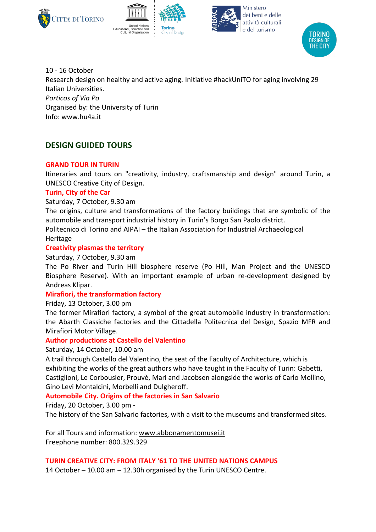







10 - 16 October Research design on healthy and active aging. Initiative #hackUniTO for aging involving 29 Italian Universities. *Porticos of Via Po* Organised by: the University of Turin Info: www.hu4a.it

## **DESIGN GUIDED TOURS**

### **GRAND TOUR IN TURIN**

Itineraries and tours on "creativity, industry, craftsmanship and design" around Turin, a UNESCO Creative City of Design.

### **Turin, City of the Car**

Saturday, 7 October, 9.30 am

The origins, culture and transformations of the factory buildings that are symbolic of the automobile and transport industrial history in Turin's Borgo San Paolo district.

Politecnico di Torino and AIPAI – the Italian Association for Industrial Archaeological Heritage

### **Creativity plasmas the territory**

### Saturday, 7 October, 9.30 am

The Po River and Turin Hill biosphere reserve (Po Hill, Man Project and the UNESCO Biosphere Reserve). With an important example of urban re-development designed by Andreas Klipar.

### **Mirafiori, the transformation factory**

### Friday, 13 October, 3.00 pm

The former Mirafiori factory, a symbol of the great automobile industry in transformation: the Abarth Classiche factories and the Cittadella Politecnica del Design, Spazio MFR and Mirafiori Motor Village.

### **Author productions at Castello del Valentino**

### Saturday, 14 October, 10.00 am

A trail through Castello del Valentino, the seat of the Faculty of Architecture, which is exhibiting the works of the great authors who have taught in the Faculty of Turin: Gabetti, Castiglioni, Le Corbousier, Prouvè, Mari and Jacobsen alongside the works of Carlo Mollino, Gino Levi Montalcini, Morbelli and Dulgheroff.

### **Automobile City. Origins of the factories in San Salvario**

Friday, 20 October, 3.00 pm -

The history of the San Salvario factories, with a visit to the museums and transformed sites.

For all Tours and information: [www.abbonamentomusei.it](http://www.abbonamentomusei.it/) Freephone number: 800.329.329

### **TURIN CREATIVE CITY: FROM ITALY '61 TO THE UNITED NATIONS CAMPUS**

14 October – 10.00 am – 12.30h organised by the Turin UNESCO Centre.